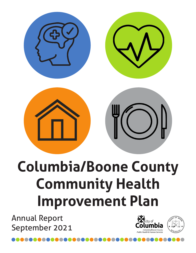

# **Columbia/Boone County Community Health Improvement Plan**

Annual Report September 2021

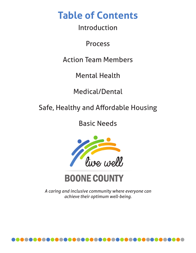## **Table of Contents**

Introduction

Process

Action Team Members

Mental Health

Medical/Dental

Safe, Healthy and Affordable Housing

Basic Needs



## **BOONE COUNTY**

*A caring and inclusive community where everyone can achieve their optimum well-being.*

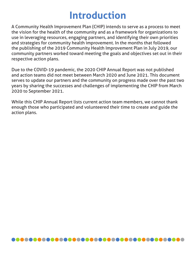## **Introduction**

A Community Health Improvement Plan (CHIP) intends to serve as a process to meet the vision for the health of the community and as a framework for organizations to use in leveraging resources, engaging partners, and identifying their own priorities and strategies for community health improvement. In the months that followed the publishing of the 2019 Community Health Improvement Plan in July 2019, our community partners worked toward meeting the goals and objectives set out in their respective action plans.

Due to the COVID-19 pandemic, the 2020 CHIP Annual Report was not published and action teams did not meet between March 2020 and June 2021. This document serves to update our partners and the community on progress made over the past two years by sharing the successes and challenges of implementing the CHIP from March 2020 to September 2021.

While this CHIP Annual Report lists current action team members, we cannot thank enough those who participated and volunteered their time to create and guide the action plans.

#### . . . . . . . . .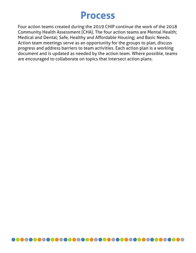#### **Process**

Four action teams created during the 2019 CHIP continue the work of the 2018 Community Health Assessment (CHA). The four action teams are Mental Health; Medical and Dental; Safe, Healthy and Affordable Housing; and Basic Needs. Action team meetings serve as an opportunity for the groups to plan, discuss progress and address barriers to team activities. Each action plan is a working document and is updated as needed by the action team. Where possible, teams are encouraged to collaborate on topics that intersect action plans.

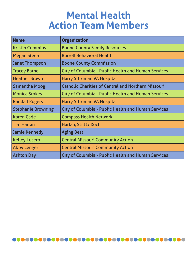### **Mental Health Action Team Members**

| <b>Name</b>               | <b>Organization</b>                                        |
|---------------------------|------------------------------------------------------------|
| <b>Kristin Cummins</b>    | <b>Boone County Family Resources</b>                       |
| <b>Megan Steen</b>        | <b>Burrell Behavioral Health</b>                           |
| <b>Janet Thompson</b>     | <b>Boone County Commission</b>                             |
| <b>Tracey Bathe</b>       | <b>City of Columbia - Public Health and Human Services</b> |
| <b>Heather Brown</b>      | <b>Harry S Truman VA Hospital</b>                          |
| <b>Samantha Moog</b>      | <b>Catholic Charities of Central and Northern Missouri</b> |
| <b>Monica Stokes</b>      | <b>City of Columbia - Public Health and Human Services</b> |
| <b>Randall Rogers</b>     | <b>Harry S Truman VA Hospital</b>                          |
| <b>Stephanie Browning</b> | <b>City of Columbia - Public Health and Human Services</b> |
| <b>Karen Cade</b>         | <b>Compass Health Network</b>                              |
| <b>Tim Harlan</b>         | Harlan, Still & Koch                                       |
| Jamie Kennedy             | <b>Aging Best</b>                                          |
| <b>Kelley Lucero</b>      | <b>Central Missouri Community Action</b>                   |
| <b>Abby Lenger</b>        | <b>Central Missouri Community Action</b>                   |
| <b>Ashton Day</b>         | <b>City of Columbia - Public Health and Human Services</b> |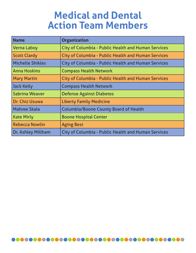## **Medical and Dental Action Team Members**

| <b>Name</b>             | <b>Organization</b>                                        |
|-------------------------|------------------------------------------------------------|
| <b>Verna Laboy</b>      | <b>City of Columbia - Public Health and Human Services</b> |
| <b>Scott Clardy</b>     | <b>City of Columbia - Public Health and Human Services</b> |
| <b>Michelle Shikles</b> | <b>City of Columbia - Public Health and Human Services</b> |
| <b>Anna Hoskins</b>     | <b>Compass Health Network</b>                              |
| <b>Mary Martin</b>      | <b>City of Columbia - Public Health and Human Services</b> |
| Jack Kelly              | <b>Compass Health Network</b>                              |
| <b>Sabrina Weaver</b>   | <b>Defense Against Diabetes</b>                            |
| Dr. Chiz Usuwa          | <b>Liberty Family Medicine</b>                             |
| <b>Mahree Skala</b>     | <b>Columbia/Boone County Board of Health</b>               |
| <b>Kate Mirly</b>       | <b>Boone Hospital Center</b>                               |
| <b>Rebecca Nowlin</b>   | <b>Aging Best</b>                                          |
| Dr. Ashley Millham      | <b>City of Columbia - Public Health and Human Services</b> |

#### **AA**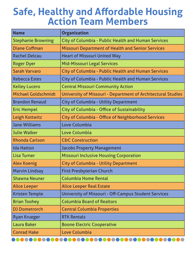## **Safe, Healthy and Affordable Housing Action Team Members**

| <b>Name</b>               | <b>Organization</b>                                                 |
|---------------------------|---------------------------------------------------------------------|
| <b>Stephanie Browning</b> | <b>City of Columbia - Public Health and Human Services</b>          |
| <b>Diane Coffman</b>      | <b>Missouri Department of Health and Senior Services</b>            |
| Rachel Delcau             | <b>Heart of Missouri United Way</b>                                 |
| <b>Roger Dyer</b>         | <b>Mid-Missouri Legal Services</b>                                  |
| Sarah Varvaro             | <b>City of Columbia - Public Health and Human Services</b>          |
| Rebecca Estes             | <b>City of Columbia - Public Health and Human Services</b>          |
| <b>Kelley Lucero</b>      | <b>Central Missouri Community Action</b>                            |
| Michael Goldschmidt       | <b>University of Missouri - Department of Architectural Studies</b> |
| <b>Brandon Renaud</b>     | <b>City of Columbia - Utility Department</b>                        |
| <b>Eric Hempel</b>        | <b>City of Columbia - Office of Sustainability</b>                  |
| <b>Leigh Kottwitz</b>     | <b>City of Columbia - Office of Neighborhood Services</b>           |
| Jane Williams             | Love Columbia                                                       |
| Julie Walker              | Love Columbia                                                       |
| Rhonda Carlson            | <b>C&amp;C Construction</b>                                         |
| Ida Hatton                | <b>Jacobs Property Management</b>                                   |
| Lisa Turner               | <b>Missouri Inclusive Housing Corporation</b>                       |
| <b>Alex Koenig</b>        | <b>City of Columbia - Utility Department</b>                        |
| <b>Marvin Lindsay</b>     | <b>First Presbyterian Church</b>                                    |
| <b>Shawna Neuner</b>      | <b>Columbia Home Rental</b>                                         |
| <b>Alice Leeper</b>       | <b>Alice Leeper Real Estate</b>                                     |
| <b>Kristen Temple</b>     | <b>University of Missouri - Off-Campus Student Services</b>         |
| <b>Brian Toohey</b>       | <b>Columbia Board of Realtors</b>                                   |
| <b>DJ Dometrorch</b>      | <b>Central Columbia Properties</b>                                  |
| <b>Ryan Krueger</b>       | <b>RTK Rentals</b>                                                  |
| Laura Baker               | <b>Boone Electric Cooperative</b>                                   |
| <b>Conrad Hake</b>        | Love Columbia                                                       |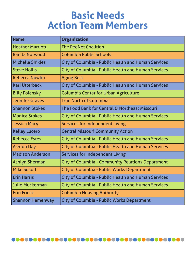## **Basic Needs Action Team Members**

| <b>Name</b>             | <b>Organization</b>                                        |
|-------------------------|------------------------------------------------------------|
| <b>Heather Marriott</b> | <b>The PedNet Coalition</b>                                |
| <b>Ranita Norwood</b>   | Columbia Public Schools                                    |
| <b>Michelle Shikles</b> | <b>City of Columbia - Public Health and Human Services</b> |
| <b>Steve Hollis</b>     | <b>City of Columbia - Public Health and Human Services</b> |
| <b>Rebecca Nowlin</b>   | <b>Aging Best</b>                                          |
| <b>Kari Utterback</b>   | <b>City of Columbia - Public Health and Human Services</b> |
| <b>Billy Polansky</b>   | <b>Columbia Center for Urban Agriculture</b>               |
| <b>Jennifer Graves</b>  | <b>True North of Columbia</b>                              |
| <b>Shannon Stokes</b>   | The Food Bank for Central & Northeast Missouri             |
| <b>Monica Stokes</b>    | <b>City of Columbia - Public Health and Human Services</b> |
| <b>Jessica Macy</b>     | <b>Services for Independent Living</b>                     |
| <b>Kelley Lucero</b>    | <b>Central Missouri Community Action</b>                   |
| <b>Rebecca Estes</b>    | <b>City of Columbia - Public Health and Human Services</b> |
| <b>Ashton Day</b>       | <b>City of Columbia - Public Health and Human Services</b> |
| <b>Madison Anderson</b> | <b>Services for Independent Living</b>                     |
| <b>Ashlyn Sherman</b>   | <b>City of Columbia - Community Relations Department</b>   |
| <b>Mike Sokoff</b>      | <b>City of Columbia - Public Works Department</b>          |
| <b>Erin Harris</b>      | <b>City of Columbia - Public Health and Human Services</b> |
| Julie Muckerman         | <b>City of Columbia - Public Health and Human Services</b> |
| <b>Erin Friesz</b>      | <b>Columbia Housing Authority</b>                          |
| <b>Shannon Hemenway</b> | <b>City of Columbia - Public Works Department</b>          |

#### **OD IOOO** 88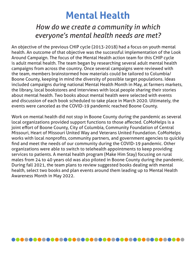## **Mental Health**

#### *How do we create a community in which everyone's mental health needs are met?*

An objective of the previous CHIP cycle (2013-2018) had a focus on youth mental health. An outcome of that objective was the successful implementation of the Look Around Campaign. The focus of the Mental Health action team for this CHIP cycle is adult mental health. The team began by researching several adult mental health campaigns from across the country. Once several campaigns were reviewed with the team, members brainstormed how materials could be tailored to Columbia/ Boone County, keeping in mind the diversity of possible target populations. Ideas included campaigns during national Mental Health Month in May, at farmers markets, the library, local bookstores and interviews with local people sharing their stories about mental health. Two books about mental health were selected with events and discussion of each book scheduled to take place in March 2020. Ultimately, the events were canceled as the COVID-19 pandemic reached Boone County.

Work on mental health did not stop in Boone County during the pandemic as several local organizations provided support functions to those affected. CoMoHelps is a joint effort of Boone County, City of Columbia, Community Foundation of Central Missouri, Heart of Missouri United Way and Veterans United Foundation. CoMoHelps works with local nonprofits, community partners, and government agencies to quickly find and meet the needs of our community during the COVID-19 pandemic. Other organizations were able to switch to telehealth appointments to keep providing services to patients. A mental health program (Make Him Stay) focusing on rural males from 24 to 40 years old was also piloted in Boone County during the pandemic. During fall 2021, the team plans to review suggested books dealing with mental health, select two books and plan events around them leading up to Mental Health Awareness Month in May 2022.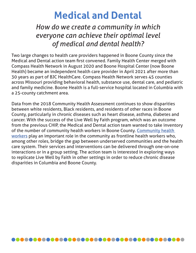### **Medical and Dental**

*How do we create a community in which everyone can achieve their optimal level of medical and dental health?*

Two large changes to health care providers happened in Boone County since the Medical and Dental action team first convened. Family Health Center merged with Compass Health Network in August 2020 and Boone Hospital Center (now Boone Health) became an independent health care provider in April 2021 after more than 30 years as part of BJC HealthCare. Compass Health Network serves 45 counties across Missouri providing behavioral health, substance use, dental care, and pediatric and family medicine. Boone Health is a full-service hospital located in Columbia with a 25-county catchment area.

Data from the 2018 Community Health Assessment continues to show disparities between white residents, Black residents, and residents of other races in Boone County, particularly in chronic diseases such as heart disease, asthma, diabetes and cancer. With the success of the Live Well by Faith program, which was an outcome from the previous CHIP, the Medical and Dental action team wanted to take inventory of the number of community health workers in Boone County. Community health workers play an important role in the community as frontline health workers who, among other roles, bridge the gap between underserved communities and the health care system. Their services and interventions can be delivered through one-on-one interactions or in a group setting. The action team is interested in exploring ways to replicate Live Well by Faith in other settings in order to reduce chronic disease disparities in Columbia and Boone County.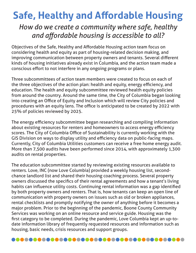## **Safe, Healthy and Affordable Housing**

#### *How do we create a community where safe, healthy and affordable housing is accessible to all?*

Objectives of the Safe, Healthy and Affordable Housing action team focus on considering health and equity as part of housing-related decision making, and improving communication between property owners and tenants. Several different kinds of housing initiatives already exist in Columbia, and the action team made a conscious effort to not interfere in any ongoing programs or plans.

Three subcommittees of action team members were created to focus on each of the three objectives of the action plan: health and equity, energy efficiency, and education. The health and equity subcommittee reviewed health equity policies from around the country. Around the same time, the City of Columbia began looking into creating an Office of Equity and Inclusion which will review City policies and procedures with an equity lens. The office is anticipated to be created by 2022 with 25% of policies reviewed by 2025.

The energy efficiency subcommittee began researching and compiling information about existing resources for renters and homeowners to access energy efficiency scores. The City of Columbia Office of Sustainability is currently working with the GIS Division on ways to display utility and efficiency data on public-facing maps. Currently, City of Columbia Utilities customers can receive a free home energy audit. More than 7,500 audits have been performed since 2014, with approximately 1,300 audits on rental properties.

The education subcommittee started by reviewing existing resources available to renters. Love, INC (now Love Columbia) provided a weekly housing list, secondchance landlord list and shared their housing coaching process. Several property owners discussed the specifics of their rental agreements and how a tenant's living habits can influence utility costs. Continuing rental information was a gap identified by both property owners and renters. That is, how tenants can keep an open line of communication with property owners on issues such as old or broken appliances, rental checklists and promptly notifying the owner of anything before it becomes a major problem. Prior to the beginning of the pandemic, Boone County Community Services was working on an online resource and service guide. Housing was the first category to be completed. During the pandemic, Love Columbia kept an up-todate information library of frequently requested resources and information such as housing, basic needs, crisis resources and support groups.

####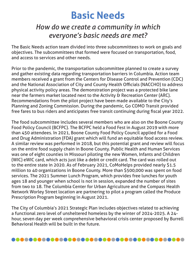## **Basic Needs**

#### *How do we create a community in which everyone's basic needs are met?*

The Basic Needs action team divided into three subcommittees to work on goals and objectives. The subcommittees that formed were focused on transportation, food, and access to services and other needs.

Prior to the pandemic, the transportation subcommittee planned to create a survey and gather existing data regarding transportation barriers in Columbia. Action team members received a grant from the Centers for Disease Control and Prevention (CDC) and the National Association of City and County Health Officials (NACCHO) to address physical activity policy areas. The demonstration project was a protected bike lane near the farmers market located next to the Activity & Recreation Center (ARC). Recommendations from the pilot project have been made available to the City's Planning and Zoning Commission. During the pandemic, Go COMO Transit provided free fares to bus riders and anticipates free transit continuing during fiscal year 2022.

The food subcommittee includes several members who are also on the Boone County Food Policy Council (BCFPC). The BCFPC held a Food Fest in August 2019 with more than 450 attendees. In 2021, Boone County Food Policy Council applied for a Food and Drug Administration (FDA) grant which will fund an equitable food access review. A similar review was performed in 2018, but this potential grant and review will focus on the entire food supply chain in Boone County. Public Health and Human Services was one of eight counties in Missouri piloting the new Women, Infants and Children (WIC) eWIC card, which acts just like a debit or credit card. The card was rolled out to the entire state in 2020. As of February 2021, CoMoHelps provided nearly \$1.5 million to 40 organizations in Boone County. More than \$500,000 was spent on food services. The 2021 Summer Lunch Program, which provides free lunches for youth ages 18 and younger when school is not in session, expanded the number of sites from two to 18. The Columbia Center for Urban Agriculture and the Compass Health Network Worley Street location are partnering to pilot a program called the Produce Prescription Program beginning in August 2021.

The City of Columbia's 2021 Strategic Plan includes objectives related to achieving a functional zero level of unsheltered homeless by the winter of 2024-2025. A 24 hour, seven day per week comprehensive behavioral crisis center proposed by Burrell Behavioral Health will be built in the future.

####